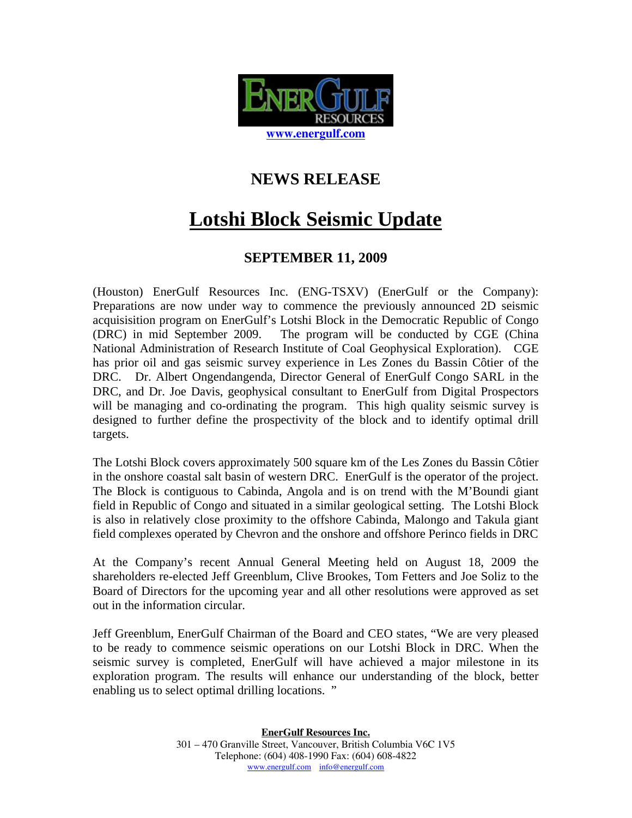

## **NEWS RELEASE**

## **Lotshi Block Seismic Update**

## **SEPTEMBER 11, 2009**

(Houston) EnerGulf Resources Inc. (ENG-TSXV) (EnerGulf or the Company): Preparations are now under way to commence the previously announced 2D seismic acquisisition program on EnerGulf's Lotshi Block in the Democratic Republic of Congo (DRC) in mid September 2009. The program will be conducted by CGE (China National Administration of Research Institute of Coal Geophysical Exploration). CGE has prior oil and gas seismic survey experience in Les Zones du Bassin Côtier of the DRC. Dr. Albert Ongendangenda, Director General of EnerGulf Congo SARL in the DRC, and Dr. Joe Davis, geophysical consultant to EnerGulf from Digital Prospectors will be managing and co-ordinating the program. This high quality seismic survey is designed to further define the prospectivity of the block and to identify optimal drill targets.

The Lotshi Block covers approximately 500 square km of the Les Zones du Bassin Côtier in the onshore coastal salt basin of western DRC. EnerGulf is the operator of the project. The Block is contiguous to Cabinda, Angola and is on trend with the M'Boundi giant field in Republic of Congo and situated in a similar geological setting. The Lotshi Block is also in relatively close proximity to the offshore Cabinda, Malongo and Takula giant field complexes operated by Chevron and the onshore and offshore Perinco fields in DRC

At the Company's recent Annual General Meeting held on August 18, 2009 the shareholders re-elected Jeff Greenblum, Clive Brookes, Tom Fetters and Joe Soliz to the Board of Directors for the upcoming year and all other resolutions were approved as set out in the information circular.

Jeff Greenblum, EnerGulf Chairman of the Board and CEO states, "We are very pleased to be ready to commence seismic operations on our Lotshi Block in DRC. When the seismic survey is completed, EnerGulf will have achieved a major milestone in its exploration program. The results will enhance our understanding of the block, better enabling us to select optimal drilling locations. "